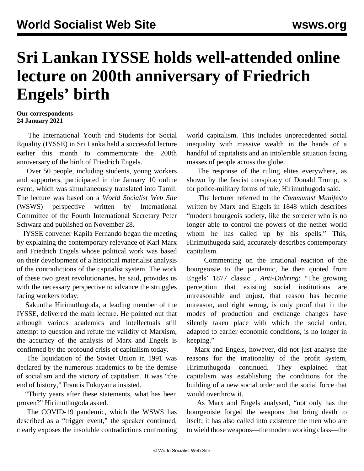## **Sri Lankan IYSSE holds well-attended online lecture on 200th anniversary of Friedrich Engels' birth**

## **Our correspondents 24 January 2021**

 The International Youth and Students for Social Equality (IYSSE) in Sri Lanka held a successful lecture earlier this month to commemorate the 200th anniversary of the birth of Friedrich Engels.

 Over 50 people, including students, young workers and supporters, participated in the January 10 online event, which was simultaneously translated into Tamil. The lecture was based on a *World Socialist Web Site* (WSWS) [perspective](/en/articles/2020/11/28/pers-n28.html) written by International Committee of the Fourth International Secretary Peter Schwarz and published on November 28.

 IYSSE convener Kapila Fernando began the meeting by explaining the contemporary relevance of Karl Marx and Friedrich Engels whose political work was based on their development of a historical materialist analysis of the contradictions of the capitalist system. The work of these two great revolutionaries, he said, provides us with the necessary perspective to advance the struggles facing workers today.

 Sakuntha Hirimuthugoda, a leading member of the IYSSE, delivered the main lecture. He pointed out that although various academics and intellectuals still attempt to question and refute the validity of Marxism, the accuracy of the analysis of Marx and Engels is confirmed by the profound crisis of capitalism today.

 The liquidation of the Soviet Union in 1991 was declared by the numerous academics to be the demise of socialism and the victory of capitalism. It was "the end of history," Francis Fukuyama insisted.

 "Thirty years after these statements, what has been proven?" Hirimuthugoda asked.

 The COVID-19 pandemic, which the WSWS has described as a "trigger event," the speaker continued, clearly exposes the insoluble contradictions confronting world capitalism. This includes unprecedented social inequality with massive wealth in the hands of a handful of capitalists and an intolerable situation facing masses of people across the globe.

 The response of the ruling elites everywhere, as shown by the fascist conspiracy of Donald Trump, is for police-military forms of rule, Hirimuthugoda said.

 The lecturer referred to the *Communist Manifesto* written by Marx and Engels in 1848 which describes "modern bourgeois society, like the sorcerer who is no longer able to control the powers of the nether world whom he has called up by his spells." This, Hirimuthugoda said, accurately describes contemporary capitalism.

 Commenting on the irrational reaction of the bourgeoisie to the pandemic, he then quoted from Engels' 1877 classic *, Anti-Duhring*: "The growing perception that existing social institutions are unreasonable and unjust, that reason has become unreason, and right wrong, is only proof that in the modes of production and exchange changes have silently taken place with which the social order, adapted to earlier economic conditions, is no longer in keeping."

 Marx and Engels, however, did not just analyse the reasons for the irrationality of the profit system, Hirimuthugoda continued. They explained that capitalism was establishing the conditions for the building of a new social order and the social force that would overthrow it.

 As Marx and Engels analysed, "not only has the bourgeoisie forged the weapons that bring death to itself; it has also called into existence the men who are to wield those weapons—the modern working class—the